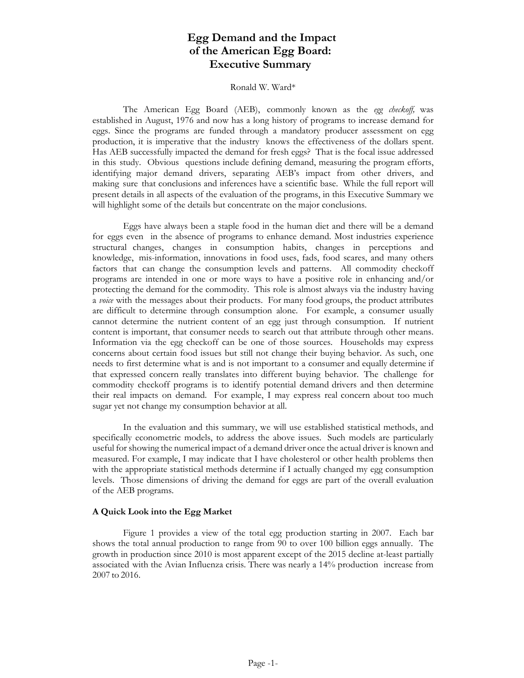# **Egg Demand and the Impact of the American Egg Board: Executive Summary**

#### Ronald W. Ward\*

The American Egg Board (AEB), commonly known as the *egg checkoff,* was established in August, 1976 and now has a long history of programs to increase demand for eggs. Since the programs are funded through a mandatory producer assessment on egg production, it is imperative that the industry knows the effectiveness of the dollars spent. Has AEB successfully impacted the demand for fresh eggs? That is the focal issue addressed in this study. Obvious questions include defining demand, measuring the program efforts, identifying major demand drivers, separating AEB's impact from other drivers, and making sure that conclusions and inferences have a scientific base. While the full report will present details in all aspects of the evaluation of the programs, in this Executive Summary we will highlight some of the details but concentrate on the major conclusions.

Eggs have always been a staple food in the human diet and there will be a demand for eggs even in the absence of programs to enhance demand. Most industries experience structural changes, changes in consumption habits, changes in perceptions and knowledge, mis-information, innovations in food uses, fads, food scares, and many others factors that can change the consumption levels and patterns. All commodity checkoff programs are intended in one or more ways to have a positive role in enhancing and/or protecting the demand for the commodity. This role is almost always via the industry having a *voice* with the messages about their products. For many food groups, the product attributes are difficult to determine through consumption alone. For example, a consumer usually cannot determine the nutrient content of an egg just through consumption. If nutrient content is important, that consumer needs to search out that attribute through other means. Information via the egg checkoff can be one of those sources. Households may express concerns about certain food issues but still not change their buying behavior. As such, one needs to first determine what is and is not important to a consumer and equally determine if that expressed concern really translates into different buying behavior. The challenge for commodity checkoff programs is to identify potential demand drivers and then determine their real impacts on demand. For example, I may express real concern about too much sugar yet not change my consumption behavior at all.

In the evaluation and this summary, we will use established statistical methods, and specifically econometric models, to address the above issues. Such models are particularly useful for showing the numerical impact of a demand driver once the actual driver is known and measured. For example, I may indicate that I have cholesterol or other health problems then with the appropriate statistical methods determine if I actually changed my egg consumption levels. Those dimensions of driving the demand for eggs are part of the overall evaluation of the AEB programs.

#### **A Quick Look into the Egg Market**

Figure 1 provides a view of the total egg production starting in 2007. Each bar shows the total annual production to range from 90 to over 100 billion eggs annually. The growth in production since 2010 is most apparent except of the 2015 decline at-least partially associated with the Avian Influenza crisis. There was nearly a 14% production increase from 2007 to 2016.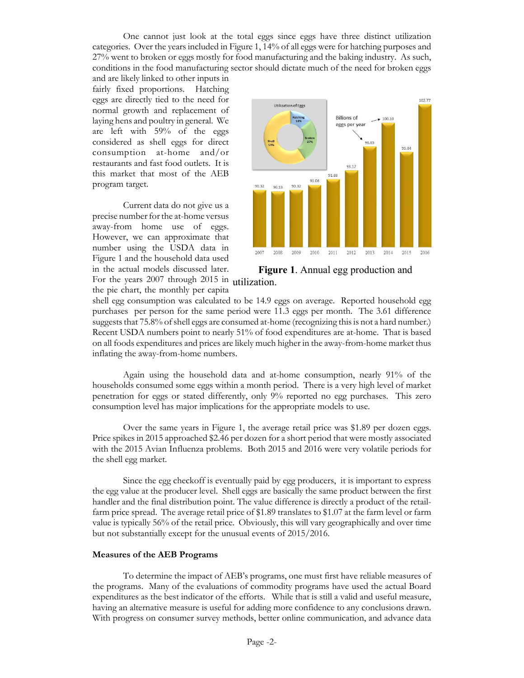One cannot just look at the total eggs since eggs have three distinct utilization categories. Over the years included in Figure 1, 14% of all eggs were for hatching purposes and 27% went to broken or eggs mostly for food manufacturing and the baking industry. As such, conditions in the food manufacturing sector should dictate much of the need for broken eggs

and are likely linked to other inputs in fairly fixed proportions. Hatching eggs are directly tied to the need for normal growth and replacement of laying hens and poultry in general. We are left with 59% of the eggs considered as shell eggs for direct consumption at-home and/or restaurants and fast food outlets. It is this market that most of the AEB program target.

For the years 2007 through 2015 in utilization. Current data do not give us a precise number for the at-home versus away-from home use of eggs. However, we can approximate that number using the USDA data in Figure 1 and the household data used in the actual models discussed later.

the pie chart, the monthly per capita



**Figure 1**. Annual egg production and

shell egg consumption was calculated to be 14.9 eggs on average. Reported household egg purchases per person for the same period were 11.3 eggs per month. The 3.61 difference suggests that 75.8% of shell eggs are consumed at-home (recognizing this is not a hard number.) Recent USDA numbers point to nearly 51% of food expenditures are at-home. That is based on all foods expenditures and prices are likely much higher in the away-from-home market thus inflating the away-from-home numbers.

Again using the household data and at-home consumption, nearly 91% of the households consumed some eggs within a month period. There is a very high level of market penetration for eggs or stated differently, only 9% reported no egg purchases. This zero consumption level has major implications for the appropriate models to use.

Over the same years in Figure 1, the average retail price was \$1.89 per dozen eggs. Price spikes in 2015 approached \$2.46 per dozen for a short period that were mostly associated with the 2015 Avian Influenza problems. Both 2015 and 2016 were very volatile periods for the shell egg market.

Since the egg checkoff is eventually paid by egg producers, it is important to express the egg value at the producer level. Shell eggs are basically the same product between the first handler and the final distribution point. The value difference is directly a product of the retailfarm price spread. The average retail price of \$1.89 translates to \$1.07 at the farm level or farm value is typically 56% of the retail price. Obviously, this will vary geographically and over time but not substantially except for the unusual events of 2015/2016.

#### **Measures of the AEB Programs**

To determine the impact of AEB's programs, one must first have reliable measures of the programs. Many of the evaluations of commodity programs have used the actual Board expenditures as the best indicator of the efforts. While that is still a valid and useful measure, having an alternative measure is useful for adding more confidence to any conclusions drawn. With progress on consumer survey methods, better online communication, and advance data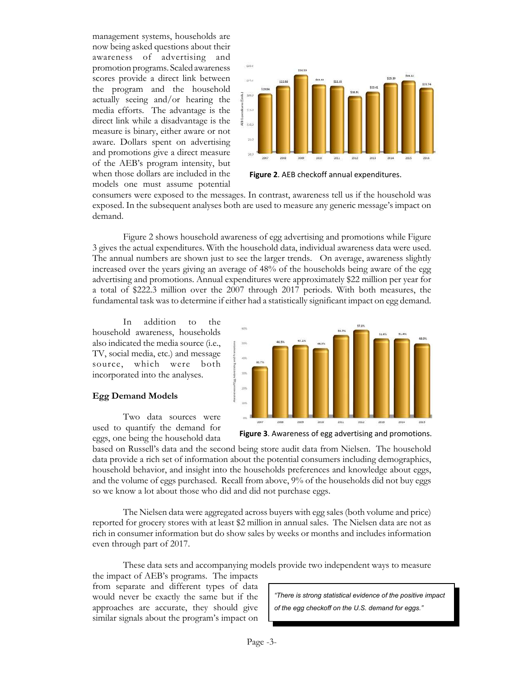management systems, households are now being asked questions about their awareness of advertising and promotion programs. Scaled awareness scores provide a direct link between the program and the household actually seeing and/or hearing the media efforts. The advantage is the direct link while a disadvantage is the measure is binary, either aware or not aware. Dollars spent on advertising and promotions give a direct measure of the AEB's program intensity, but when those dollars are included in the models one must assume potential



**Figure 2**. AEB checkoff annual expenditures.

consumers were exposed to the messages. In contrast, awareness tell us if the household was exposed. In the subsequent analyses both are used to measure any generic message's impact on demand.

Figure 2 shows household awareness of egg advertising and promotions while Figure 3 gives the actual expenditures. With the household data, individual awareness data were used. The annual numbers are shown just to see the larger trends. On average, awareness slightly increased over the years giving an average of 48% of the households being aware of the egg advertising and promotions. Annual expenditures were approximately \$22 million per year for a total of \$222.3 million over the 2007 through 2017 periods. With both measures, the fundamental task was to determine if either had a statistically significant impact on egg demand.

In addition to the household awareness, households also indicated the media source (i.e., TV, social media, etc.) and message source, which were both incorporated into the analyses.

### **Egg Demand Models**

Two data sources were used to quantify the demand for eggs, one being the household data



**Figure 3**. Awareness of egg advertising and promotions.

based on Russell's data and the second being store audit data from Nielsen. The household data provide a rich set of information about the potential consumers including demographics, household behavior, and insight into the households preferences and knowledge about eggs, and the volume of eggs purchased. Recall from above, 9% of the households did not buy eggs so we know a lot about those who did and did not purchase eggs.

The Nielsen data were aggregated across buyers with egg sales (both volume and price) reported for grocery stores with at least \$2 million in annual sales. The Nielsen data are not as rich in consumer information but do show sales by weeks or months and includes information even through part of 2017.

These data sets and accompanying models provide two independent ways to measure

the impact of AEB's programs. The impacts from separate and different types of data would never be exactly the same but if the approaches are accurate, they should give similar signals about the program's impact on

*"There is strong statistical evidence of the positive impact of the egg checkoff on the U.S. demand for eggs."*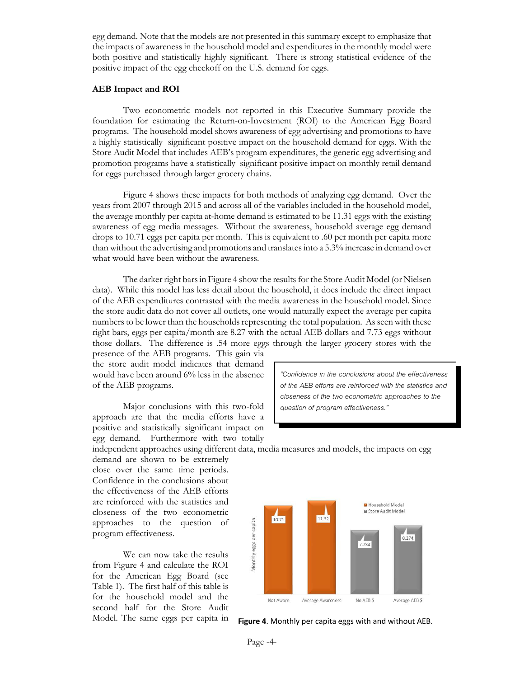egg demand. Note that the models are not presented in this summary except to emphasize that the impacts of awareness in the household model and expenditures in the monthly model were both positive and statistically highly significant. There is strong statistical evidence of the positive impact of the egg checkoff on the U.S. demand for eggs.

#### **AEB Impact and ROI**

Two econometric models not reported in this Executive Summary provide the foundation for estimating the Return-on-Investment (ROI) to the American Egg Board programs. The household model shows awareness of egg advertising and promotions to have a highly statistically significant positive impact on the household demand for eggs. With the Store Audit Model that includes AEB's program expenditures, the generic egg advertising and promotion programs have a statistically significant positive impact on monthly retail demand for eggs purchased through larger grocery chains.

Figure 4 shows these impacts for both methods of analyzing egg demand. Over the years from 2007 through 2015 and across all of the variables included in the household model, the average monthly per capita at-home demand is estimated to be 11.31 eggs with the existing awareness of egg media messages. Without the awareness, household average egg demand drops to 10.71 eggs per capita per month. This is equivalent to .60 per month per capita more than without the advertising and promotions and translates into a 5.3% increase in demand over what would have been without the awareness.

The darker right bars in Figure 4 show the results for the Store Audit Model (or Nielsen data). While this model has less detail about the household, it does include the direct impact of the AEB expenditures contrasted with the media awareness in the household model. Since the store audit data do not cover all outlets, one would naturally expect the average per capita numbers to be lower than the households representing the total population. As seen with these right bars, eggs per capita/month are 8.27 with the actual AEB dollars and 7.73 eggs without those dollars. The difference is .54 more eggs through the larger grocery stores with the

presence of the AEB programs. This gain via the store audit model indicates that demand would have been around 6% less in the absence of the AEB programs.

Major conclusions with this two-fold approach are that the media efforts have a positive and statistically significant impact on egg demand. Furthermore with two totally

*"Confidence in the conclusions about the effectiveness of the AEB efforts are reinforced with the statistics and closeness of the two econometric approaches to the question of program effectiveness."*

independent approaches using different data, media measures and models, the impacts on egg

demand are shown to be extremely close over the same time periods. Confidence in the conclusions about the effectiveness of the AEB efforts are reinforced with the statistics and closeness of the two econometric approaches to the question of program effectiveness.

We can now take the results from Figure 4 and calculate the ROI for the American Egg Board (see Table 1). The first half of this table is for the household model and the second half for the Store Audit Model. The same eggs per capita in



**Figure 4**. Monthly per capita eggs with and without AEB.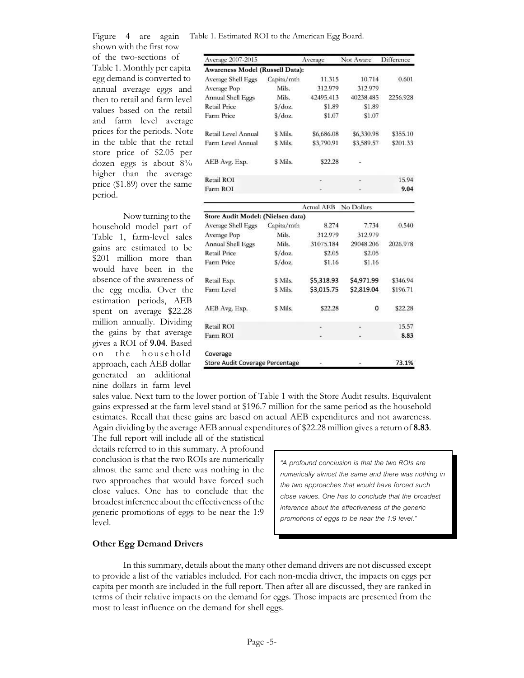Figure 4 are again shown with the first row

of the two-sections of Table 1. Monthly per capita egg demand is converted to annual average eggs and then to retail and farm level values based on the retail and farm level average prices for the periods. Note in the table that the retail store price of \$2.05 per dozen eggs is about 8% higher than the average price (\$1.89) over the same period.

Now turning to the household model part of Table 1, farm-level sales gains are estimated to be \$201 million more than would have been in the absence of the awareness of the egg media. Over the estimation periods, AEB spent on average \$22.28 million annually. Dividing the gains by that average gives a ROI of **9.04**. Based on the household approach, each AEB dollar generated an additional nine dollars in farm level

Table 1. Estimated ROI to the American Egg Board. Average 2007-2015 Average Not Aware Difference Awareness Model (Russell Data): Average Shell Eggs Capita/mth 11.315 10.714 0.601 Average Pop Mils. 312.979 312.979 Annual Shell Eggs Mils. 42495.413 40238.485 2256.928 **Retail Price**  $S/doz.$ \$1.89 \$1.89 Farm Price  $$ /$ doz. \$1.07 \$1.07 Retail Level Annual \$ Mils. \$6,686.08 \$6,330.98 \$355.10 Farm Level Annual \$ Mils. \$3,790.91 \$3,589.57 \$201.33

| AEB Avg. Exp. | \$ Mils. | \$22.28 | ш |       |
|---------------|----------|---------|---|-------|
| Retail ROI    |          | ۰       | ٠ | 15.94 |
| Farm ROI      |          | a.      | ٠ | 9.04  |
|               |          |         |   |       |

|                                   |                 | <b>Actual AEB</b> | No Dollars |          |  |  |  |  |
|-----------------------------------|-----------------|-------------------|------------|----------|--|--|--|--|
| Store Audit Model: (Nielsen data) |                 |                   |            |          |  |  |  |  |
| Average Shell Eggs                | Capita/mth      | 8.274             | 7.734      | 0.540    |  |  |  |  |
| Average Pop                       | Mils.           | 312.979           | 312.979    |          |  |  |  |  |
| Annual Shell Eggs                 | Mils.           | 31075.184         | 29048.206  | 2026.978 |  |  |  |  |
| <b>Retail Price</b>               | $\frac{\csc}{}$ | \$2.05            | \$2.05     |          |  |  |  |  |
| Farm Price                        | S/doz.          | \$1.16            | \$1.16     |          |  |  |  |  |
| Retail Exp.                       | \$ Mils.        | \$5,318.93        | \$4,971.99 | \$346.94 |  |  |  |  |
| Farm Level                        | \$ Mils.        | \$3,015.75        | \$2,819.04 | \$196.71 |  |  |  |  |
| AEB Avg. Exp.                     | \$ Mils.        | \$22.28           | 0          | \$22.28  |  |  |  |  |
| <b>Retail ROI</b>                 |                 |                   |            | 15.57    |  |  |  |  |
| Farm ROI                          |                 |                   |            | 8.83     |  |  |  |  |
| Coverage                          |                 |                   |            |          |  |  |  |  |
| Store Audit Coverage Percentage   |                 |                   |            | 73.1%    |  |  |  |  |

sales value. Next turn to the lower portion of Table 1 with the Store Audit results. Equivalent gains expressed at the farm level stand at \$196.7 million for the same period as the household estimates. Recall that these gains are based on actual AEB expenditures and not awareness. Again dividing by the average AEB annual expenditures of \$22.28 million gives a return of **8.83**.

The full report will include all of the statistical details referred to in this summary. A profound conclusion is that the two ROIs are numerically almost the same and there was nothing in the two approaches that would have forced such close values. One has to conclude that the broadest inference about the effectiveness of the generic promotions of eggs to be near the 1:9 level.

*"A profound conclusion is that the two ROIs are numerically almost the same and there was nothing in the two approaches that would have forced such close values. One has to conclude that the broadest inference about the effectiveness of the generic promotions of eggs to be near the 1:9 level."*

## **Other Egg Demand Drivers**

In this summary, details about the many other demand drivers are not discussed except to provide a list of the variables included. For each non-media driver, the impacts on eggs per capita per month are included in the full report. Then after all are discussed, they are ranked in terms of their relative impacts on the demand for eggs. Those impacts are presented from the most to least influence on the demand for shell eggs.